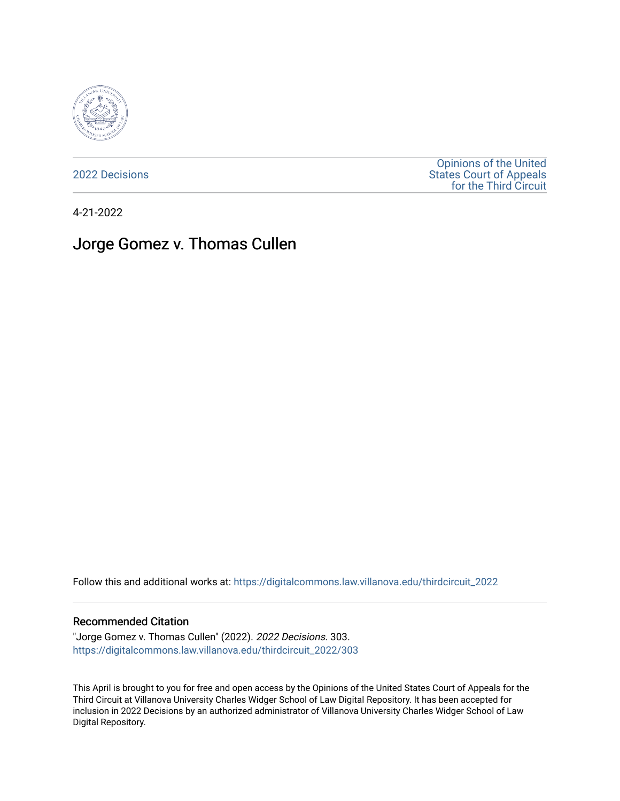

[2022 Decisions](https://digitalcommons.law.villanova.edu/thirdcircuit_2022)

[Opinions of the United](https://digitalcommons.law.villanova.edu/thirdcircuit)  [States Court of Appeals](https://digitalcommons.law.villanova.edu/thirdcircuit)  [for the Third Circuit](https://digitalcommons.law.villanova.edu/thirdcircuit) 

4-21-2022

# Jorge Gomez v. Thomas Cullen

Follow this and additional works at: [https://digitalcommons.law.villanova.edu/thirdcircuit\\_2022](https://digitalcommons.law.villanova.edu/thirdcircuit_2022?utm_source=digitalcommons.law.villanova.edu%2Fthirdcircuit_2022%2F303&utm_medium=PDF&utm_campaign=PDFCoverPages) 

#### Recommended Citation

"Jorge Gomez v. Thomas Cullen" (2022). 2022 Decisions. 303. [https://digitalcommons.law.villanova.edu/thirdcircuit\\_2022/303](https://digitalcommons.law.villanova.edu/thirdcircuit_2022/303?utm_source=digitalcommons.law.villanova.edu%2Fthirdcircuit_2022%2F303&utm_medium=PDF&utm_campaign=PDFCoverPages)

This April is brought to you for free and open access by the Opinions of the United States Court of Appeals for the Third Circuit at Villanova University Charles Widger School of Law Digital Repository. It has been accepted for inclusion in 2022 Decisions by an authorized administrator of Villanova University Charles Widger School of Law Digital Repository.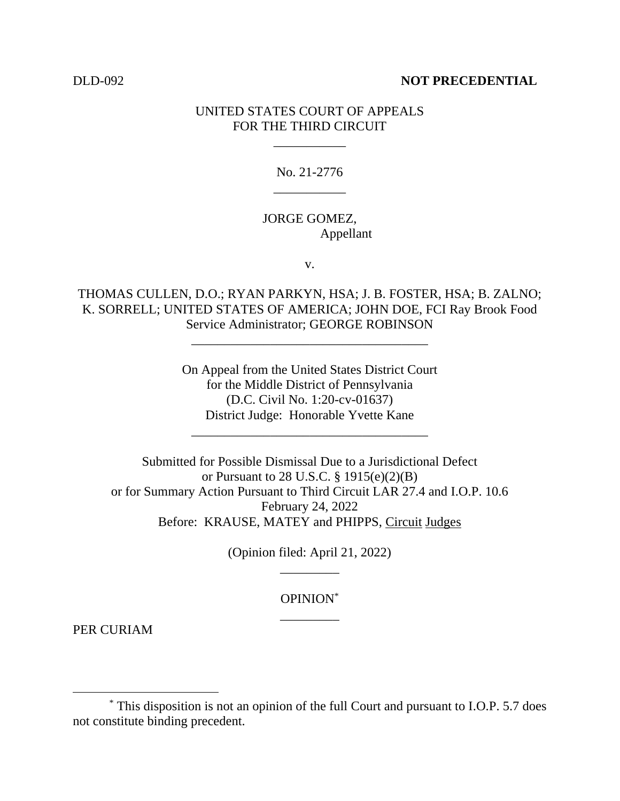#### DLD-092 **NOT PRECEDENTIAL**

## UNITED STATES COURT OF APPEALS FOR THE THIRD CIRCUIT

\_\_\_\_\_\_\_\_\_\_\_

No. 21-2776 \_\_\_\_\_\_\_\_\_\_\_

## JORGE GOMEZ, Appellant

v.

THOMAS CULLEN, D.O.; RYAN PARKYN, HSA; J. B. FOSTER, HSA; B. ZALNO; K. SORRELL; UNITED STATES OF AMERICA; JOHN DOE, FCI Ray Brook Food Service Administrator; GEORGE ROBINSON

\_\_\_\_\_\_\_\_\_\_\_\_\_\_\_\_\_\_\_\_\_\_\_\_\_\_\_\_\_\_\_\_\_\_\_\_

On Appeal from the United States District Court for the Middle District of Pennsylvania (D.C. Civil No. 1:20-cv-01637) District Judge: Honorable Yvette Kane

\_\_\_\_\_\_\_\_\_\_\_\_\_\_\_\_\_\_\_\_\_\_\_\_\_\_\_\_\_\_\_\_\_\_\_\_

Submitted for Possible Dismissal Due to a Jurisdictional Defect or Pursuant to 28 U.S.C. § 1915(e)(2)(B) or for Summary Action Pursuant to Third Circuit LAR 27.4 and I.O.P. 10.6 February 24, 2022 Before: KRAUSE, MATEY and PHIPPS, Circuit Judges

> (Opinion filed: April 21, 2022) \_\_\_\_\_\_\_\_\_

> > OPINION\* \_\_\_\_\_\_\_\_\_

PER CURIAM

<sup>\*</sup> This disposition is not an opinion of the full Court and pursuant to I.O.P. 5.7 does not constitute binding precedent.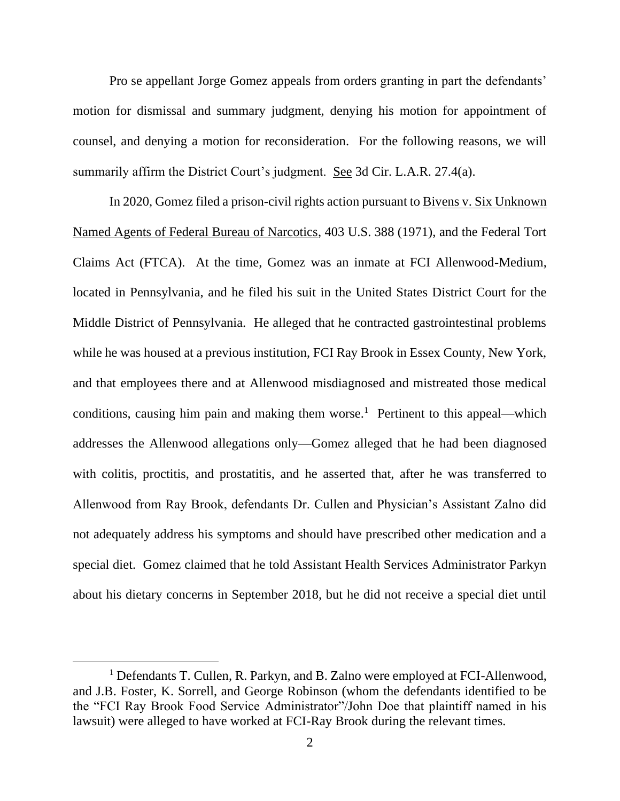Pro se appellant Jorge Gomez appeals from orders granting in part the defendants' motion for dismissal and summary judgment, denying his motion for appointment of counsel, and denying a motion for reconsideration. For the following reasons, we will summarily affirm the District Court's judgment. See 3d Cir. L.A.R. 27.4(a).

In 2020, Gomez filed a prison-civil rights action pursuant to Bivens v. Six Unknown Named Agents of Federal Bureau of Narcotics, 403 U.S. 388 (1971), and the Federal Tort Claims Act (FTCA). At the time, Gomez was an inmate at FCI Allenwood-Medium, located in Pennsylvania, and he filed his suit in the United States District Court for the Middle District of Pennsylvania. He alleged that he contracted gastrointestinal problems while he was housed at a previous institution, FCI Ray Brook in Essex County, New York, and that employees there and at Allenwood misdiagnosed and mistreated those medical conditions, causing him pain and making them worse.<sup>1</sup> Pertinent to this appeal—which addresses the Allenwood allegations only—Gomez alleged that he had been diagnosed with colitis, proctitis, and prostatitis, and he asserted that, after he was transferred to Allenwood from Ray Brook, defendants Dr. Cullen and Physician's Assistant Zalno did not adequately address his symptoms and should have prescribed other medication and a special diet. Gomez claimed that he told Assistant Health Services Administrator Parkyn about his dietary concerns in September 2018, but he did not receive a special diet until

<sup>&</sup>lt;sup>1</sup> Defendants T. Cullen, R. Parkyn, and B. Zalno were employed at FCI-Allenwood, and J.B. Foster, K. Sorrell, and George Robinson (whom the defendants identified to be the "FCI Ray Brook Food Service Administrator"/John Doe that plaintiff named in his lawsuit) were alleged to have worked at FCI-Ray Brook during the relevant times.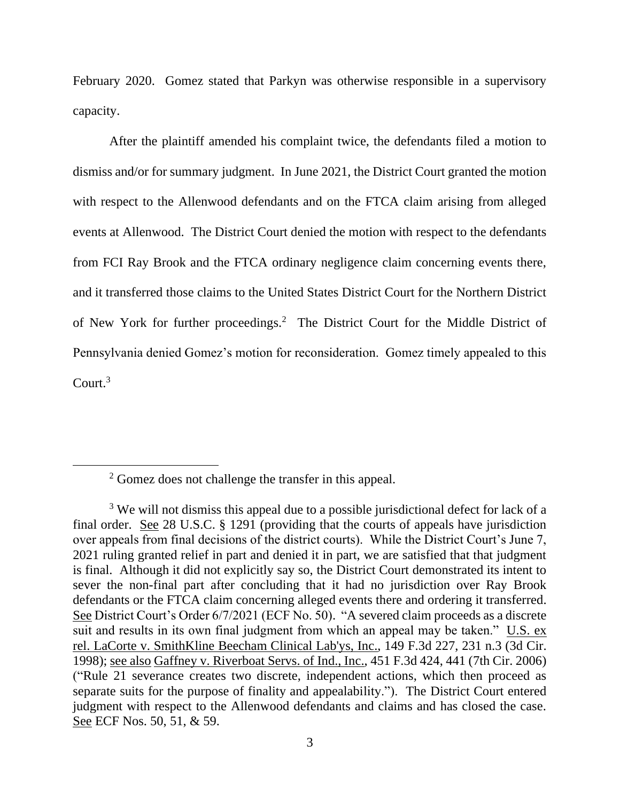February 2020. Gomez stated that Parkyn was otherwise responsible in a supervisory capacity.

After the plaintiff amended his complaint twice, the defendants filed a motion to dismiss and/or for summary judgment. In June 2021, the District Court granted the motion with respect to the Allenwood defendants and on the FTCA claim arising from alleged events at Allenwood. The District Court denied the motion with respect to the defendants from FCI Ray Brook and the FTCA ordinary negligence claim concerning events there, and it transferred those claims to the United States District Court for the Northern District of New York for further proceedings.<sup>2</sup> The District Court for the Middle District of Pennsylvania denied Gomez's motion for reconsideration. Gomez timely appealed to this Court. $3$ 

<sup>2</sup> Gomez does not challenge the transfer in this appeal.

<sup>&</sup>lt;sup>3</sup> We will not dismiss this appeal due to a possible jurisdictional defect for lack of a final order. See 28 U.S.C. § 1291 (providing that the courts of appeals have jurisdiction over appeals from final decisions of the district courts). While the District Court's June 7, 2021 ruling granted relief in part and denied it in part, we are satisfied that that judgment is final. Although it did not explicitly say so, the District Court demonstrated its intent to sever the non-final part after concluding that it had no jurisdiction over Ray Brook defendants or the FTCA claim concerning alleged events there and ordering it transferred. See District Court's Order 6/7/2021 (ECF No. 50). "A severed claim proceeds as a discrete suit and results in its own final judgment from which an appeal may be taken." U.S. ex rel. LaCorte v. SmithKline Beecham Clinical Lab'ys, Inc., 149 F.3d 227, 231 n.3 (3d Cir. 1998); see also Gaffney v. Riverboat Servs. of Ind., Inc., 451 F.3d 424, 441 (7th Cir. 2006) ("Rule 21 severance creates two discrete, independent actions, which then proceed as separate suits for the purpose of finality and appealability."). The District Court entered judgment with respect to the Allenwood defendants and claims and has closed the case. See ECF Nos. 50, 51, & 59.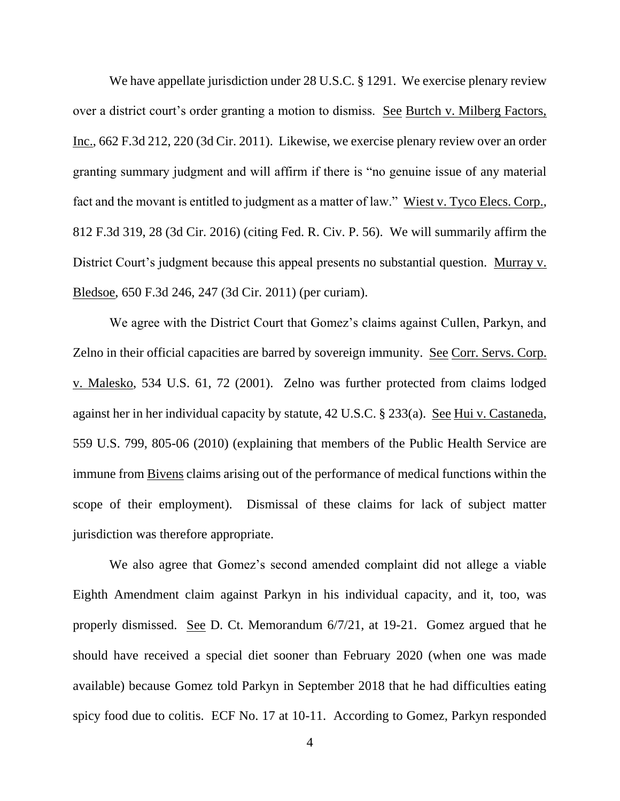We have appellate jurisdiction under 28 U.S.C. § 1291. We exercise plenary review over a district court's order granting a motion to dismiss. See Burtch v. Milberg Factors, Inc., 662 F.3d 212, 220 (3d Cir. 2011). Likewise, we exercise plenary review over an order granting summary judgment and will affirm if there is "no genuine issue of any material fact and the movant is entitled to judgment as a matter of law." Wiest v. Tyco Elecs. Corp., 812 F.3d 319, 28 (3d Cir. 2016) (citing Fed. R. Civ. P. 56). We will summarily affirm the District Court's judgment because this appeal presents no substantial question. Murray v. Bledsoe, 650 F.3d 246, 247 (3d Cir. 2011) (per curiam).

We agree with the District Court that Gomez's claims against Cullen, Parkyn, and Zelno in their official capacities are barred by sovereign immunity. See Corr. Servs. Corp. v. Malesko, 534 U.S. 61, 72 (2001). Zelno was further protected from claims lodged against her in her individual capacity by statute, 42 U.S.C. § 233(a). See Hui v. Castaneda, 559 U.S. 799, 805-06 (2010) (explaining that members of the Public Health Service are immune from Bivens claims arising out of the performance of medical functions within the scope of their employment). Dismissal of these claims for lack of subject matter jurisdiction was therefore appropriate.

We also agree that Gomez's second amended complaint did not allege a viable Eighth Amendment claim against Parkyn in his individual capacity, and it, too, was properly dismissed. See D. Ct. Memorandum 6/7/21, at 19-21. Gomez argued that he should have received a special diet sooner than February 2020 (when one was made available) because Gomez told Parkyn in September 2018 that he had difficulties eating spicy food due to colitis. ECF No. 17 at 10-11. According to Gomez, Parkyn responded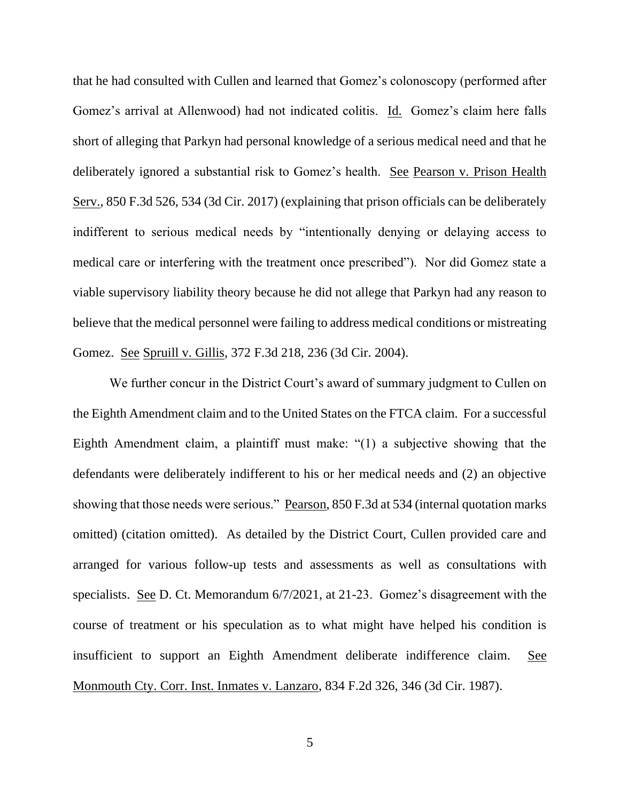that he had consulted with Cullen and learned that Gomez's colonoscopy (performed after Gomez's arrival at Allenwood) had not indicated colitis. Id. Gomez's claim here falls short of alleging that Parkyn had personal knowledge of a serious medical need and that he deliberately ignored a substantial risk to Gomez's health. See Pearson v. Prison Health Serv., 850 F.3d 526, 534 (3d Cir. 2017) (explaining that prison officials can be deliberately indifferent to serious medical needs by "intentionally denying or delaying access to medical care or interfering with the treatment once prescribed"). Nor did Gomez state a viable supervisory liability theory because he did not allege that Parkyn had any reason to believe that the medical personnel were failing to address medical conditions or mistreating Gomez. See Spruill v. Gillis, 372 F.3d 218, 236 (3d Cir. 2004).

We further concur in the District Court's award of summary judgment to Cullen on the Eighth Amendment claim and to the United States on the FTCA claim. For a successful Eighth Amendment claim, a plaintiff must make: "(1) a subjective showing that the defendants were deliberately indifferent to his or her medical needs and (2) an objective showing that those needs were serious." Pearson, 850 F.3d at 534 (internal quotation marks omitted) (citation omitted). As detailed by the District Court, Cullen provided care and arranged for various follow-up tests and assessments as well as consultations with specialists. See D. Ct. Memorandum 6/7/2021, at 21-23. Gomez's disagreement with the course of treatment or his speculation as to what might have helped his condition is insufficient to support an Eighth Amendment deliberate indifference claim. See Monmouth Cty. Corr. Inst. Inmates v. Lanzaro, 834 F.2d 326, 346 (3d Cir. 1987).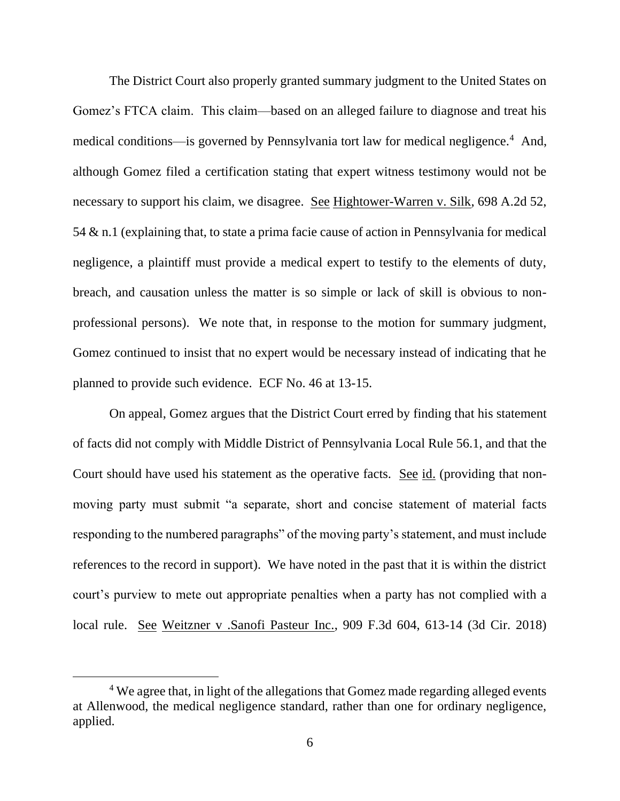The District Court also properly granted summary judgment to the United States on Gomez's FTCA claim. This claim—based on an alleged failure to diagnose and treat his medical conditions—is governed by Pennsylvania tort law for medical negligence.<sup>4</sup> And, although Gomez filed a certification stating that expert witness testimony would not be necessary to support his claim, we disagree. See Hightower-Warren v. Silk, 698 A.2d 52, 54 & n.1 (explaining that, to state a prima facie cause of action in Pennsylvania for medical negligence, a plaintiff must provide a medical expert to testify to the elements of duty, breach, and causation unless the matter is so simple or lack of skill is obvious to nonprofessional persons). We note that, in response to the motion for summary judgment, Gomez continued to insist that no expert would be necessary instead of indicating that he planned to provide such evidence. ECF No. 46 at 13-15.

On appeal, Gomez argues that the District Court erred by finding that his statement of facts did not comply with Middle District of Pennsylvania Local Rule 56.1, and that the Court should have used his statement as the operative facts. See id. (providing that nonmoving party must submit "a separate, short and concise statement of material facts responding to the numbered paragraphs" of the moving party's statement, and must include references to the record in support). We have noted in the past that it is within the district court's purview to mete out appropriate penalties when a party has not complied with a local rule. See Weitzner v .Sanofi Pasteur Inc., 909 F.3d 604, 613-14 (3d Cir. 2018)

<sup>&</sup>lt;sup>4</sup> We agree that, in light of the allegations that Gomez made regarding alleged events at Allenwood, the medical negligence standard, rather than one for ordinary negligence, applied.